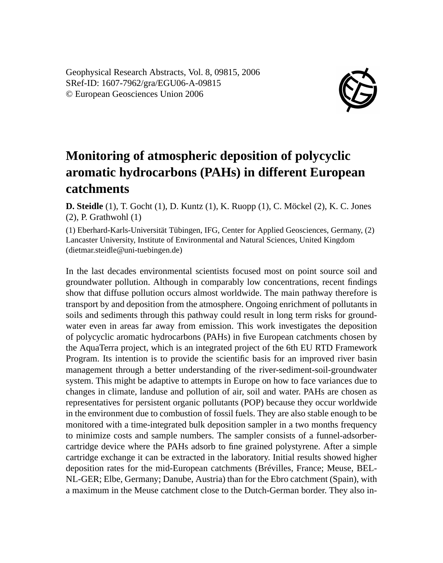Geophysical Research Abstracts, Vol. 8, 09815, 2006 SRef-ID: 1607-7962/gra/EGU06-A-09815 © European Geosciences Union 2006



## **Monitoring of atmospheric deposition of polycyclic aromatic hydrocarbons (PAHs) in different European catchments**

**D. Steidle** (1), T. Gocht (1), D. Kuntz (1), K. Ruopp (1), C. Möckel (2), K. C. Jones (2), P. Grathwohl (1)

(1) Eberhard-Karls-Universität Tübingen, IFG, Center for Applied Geosciences, Germany, (2) Lancaster University, Institute of Environmental and Natural Sciences, United Kingdom (dietmar.steidle@uni-tuebingen.de)

In the last decades environmental scientists focused most on point source soil and groundwater pollution. Although in comparably low concentrations, recent findings show that diffuse pollution occurs almost worldwide. The main pathway therefore is transport by and deposition from the atmosphere. Ongoing enrichment of pollutants in soils and sediments through this pathway could result in long term risks for groundwater even in areas far away from emission. This work investigates the deposition of polycyclic aromatic hydrocarbons (PAHs) in five European catchments chosen by the AquaTerra project, which is an integrated project of the 6th EU RTD Framework Program. Its intention is to provide the scientific basis for an improved river basin management through a better understanding of the river-sediment-soil-groundwater system. This might be adaptive to attempts in Europe on how to face variances due to changes in climate, landuse and pollution of air, soil and water. PAHs are chosen as representatives for persistent organic pollutants (POP) because they occur worldwide in the environment due to combustion of fossil fuels. They are also stable enough to be monitored with a time-integrated bulk deposition sampler in a two months frequency to minimize costs and sample numbers. The sampler consists of a funnel-adsorbercartridge device where the PAHs adsorb to fine grained polystyrene. After a simple cartridge exchange it can be extracted in the laboratory. Initial results showed higher deposition rates for the mid-European catchments (Brévilles, France; Meuse, BEL-NL-GER; Elbe, Germany; Danube, Austria) than for the Ebro catchment (Spain), with a maximum in the Meuse catchment close to the Dutch-German border. They also in